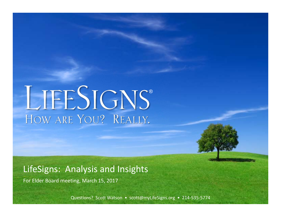# LIFESIGNS® HOW ARE YOU? REALLY.

# LifeSigns: Analysis and Insights

For Elder Board meeting, March 15, 2017

Questions? Scott Watson • scott@myLifeSigns.org • 214-535-5774

**Page 0 of 12**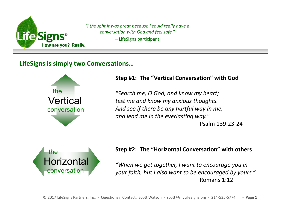

*"I thought it was great because I could really have a conversation with God and feel safe."* – LifeSigns participant

# **LifeSigns is simply two Conversations…**



# **Step #1: The "Vertical Conversation" with God**

*"Search me, O God, and know my heart; test me and know my anxious thoughts. And see if there be any hurtful way in me, and lead me in the everlasting way."* 

– Psalm 139:23-24



# **Step #2: The "Horizontal Conversation" with others**

*"When we get together, I want to encourage you in your faith, but I also want to be encouraged by yours."* – Romans 1:12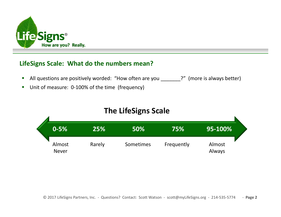

# **LifeSigns Scale: What do the numbers mean?**

- $\mathcal{L}_{\mathcal{A}}$ All questions are positively worded: "How often are you **...** ?" (more is always better)
- $\mathcal{L}_{\mathcal{A}}$ Unit of measure: 0-100% of the time (frequency)

# **The LifeSigns Scale**

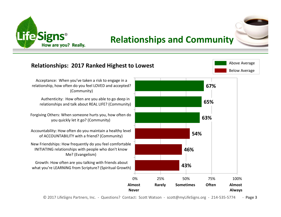

# **Relationships and Community**



#### **43%46%54%63%65%67%**0% 25% 50% 75% 100% Growth: How often are you talking with friends about what you're LEARNING from Scripture? (Spiritual Growth) New Friendships: How frequently do you feel comfortable INITIATING relationships with people who don't know Me? (Evangelism) Accountability: How often do you maintain a healthy level of ACCOUNTABILITY with a friend? (Community) Forgiving Others: When someone hurts you, how often do you quickly let it go? (Community) Authenticity: How often are you able to go deep in relationships and talk about REAL LIFE? (Community) Acceptance: When you've taken a risk to engage in a relationship, how often do you feel LOVED and accepted? (Community) **Relationships: 2017 Ranked Highest to Lowest Almost Rarely Sometimes Often Almost Never** Always Below Average Above Average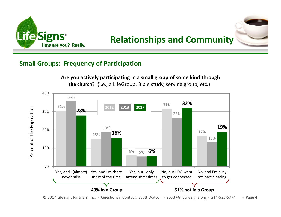

**Relationships and Community**



# **Small Groups: Frequency of Participation**

**Are you actively participating in a small group of some kind through the church?** (i.e., a LifeGroup, Bible study, serving group, etc.)

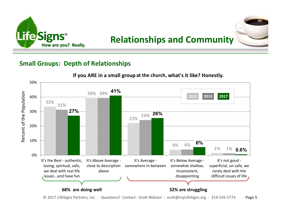

**Relationships and Community**

# **Small Groups: Depth of Relationships**



#### If you ARE in a small group at the church, what's it like? Honestly.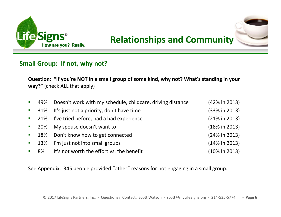





# **Small Group: If not, why not?**

**Question: "If you're NOT in a small group of some kind, why not? What's standing in your way?"** (check ALL that apply)

| $\mathbb{R}^n$ | 49% Doesn't work with my schedule, childcare, driving distance | $(42\% \text{ in } 2013)$ |
|----------------|----------------------------------------------------------------|---------------------------|
|                | ■ 31% It's just not a priority, don't have time                | (33% in 2013)             |
|                | ■ 21% I've tried before, had a bad experience                  | $(21\% in 2013)$          |
|                | ■ 20% My spouse doesn't want to                                | $(18\% \text{ in } 2013)$ |
|                | ■ 18% Don't know how to get connected                          | (24% in 2013)             |
|                | • 13% I'm just not into small groups                           | $(14\% \text{ in } 2013)$ |
|                | ■ 8% It's not worth the effort vs. the benefit                 | $(10\% \text{ in } 2013)$ |

See Appendix: 345 people provided "other" reasons for not engaging in a small group.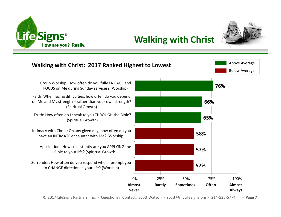



**Walking with Christ**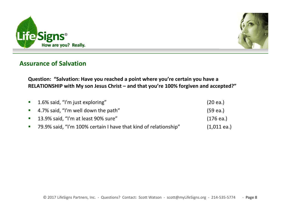



# **Assurance of Salvation**

**Question: "Salvation: Have you reached a point where you're certain you have a RELATIONSHIP with My son Jesus Christ – and that you're 100% forgiven and accepted?"** 

| ■ 1.6% said, "I'm just exploring"                                 | $(20 \text{ ea.})$ |
|-------------------------------------------------------------------|--------------------|
| $\blacksquare$ 4.7% said, "I'm well down the path"                | (59 ea.)           |
| ■ 13.9% said, "I'm at least 90% sure"                             | (176 ea.)          |
| ■ 79.9% said, "I'm 100% certain I have that kind of relationship" | $(1,011$ ea.)      |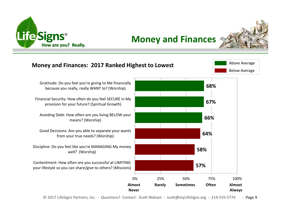

# **Money and Finances**

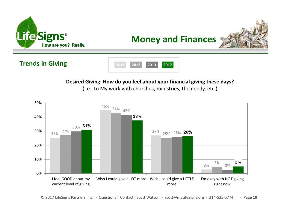







# **Desired Giving: How do you feel about your financial giving these days?**

(i.e., to My work with churches, ministries, the needy, etc.)

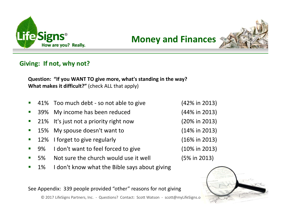

**Money and Finances**



# **Giving: If not, why not?**

**Question: "If you WANT TO give more, what's standing in the way? What makes it difficult?"** (check ALL that apply)

- П 41% Too much debt - so not able to give (42% in 2013)
- $\mathcal{L}_{\mathcal{A}}$ 39% My income has been reduced (44% in 2013)
- $\mathcal{L}_{\mathcal{A}}$ 21% It's just not a priority right now (20% in 2013)
- **C** 15% My spouse doesn't want to (14% in 2013)
- $\mathcal{L}_{\mathcal{A}}$ 12% I forget to give regularly (16% in 2013)
- $\blacksquare$ 9% I don't want to feel forced to give (10% in 2013)
- П 5% Not sure the church would use it well (5% in 2013)
- П 1% I don't know what the Bible says about giving

See Appendix: 339 people provided "other" reasons for not giving

© 2017 LifeSigns Partners, Inc. - Questions? Contact: Scott Watson - scott@myLifeSigns.o

- 
- 
- 
- 
- 

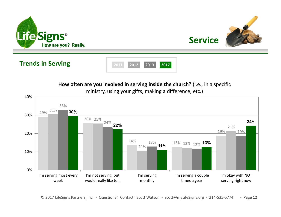



# **Trends in Serving**



**How often are you involved in serving inside the church?** (i.e., in a specific

ministry, using your gifts, making a difference, etc.)

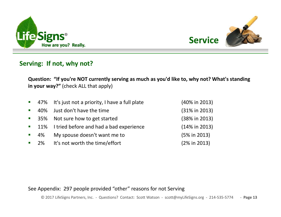



# **Serving: If not, why not?**

**Question: "If you're NOT currently serving as much as you'd like to, why not? What's standing in your way?"** (check ALL that apply)

|                  |                    | ■ 47% It's just not a priority, I have a full plate | (40% in 2013)             |
|------------------|--------------------|-----------------------------------------------------|---------------------------|
| $\blacksquare$   | 40%                | Just don't have the time                            | $(31\% \text{ in } 2013)$ |
|                  | $\blacksquare$ 35% | Not sure how to get started                         | (38% in 2013)             |
|                  |                    | ■ 11% I tried before and had a bad experience       | $(14\% \text{ in } 2013)$ |
| $\blacksquare$ . | 4%                 | My spouse doesn't want me to                        | $(5\% \text{ in } 2013)$  |
|                  | 2%                 | It's not worth the time/effort                      | $(2\% \text{ in } 2013)$  |

### See Appendix: 297 people provided "other" reasons for not Serving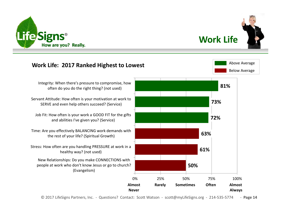



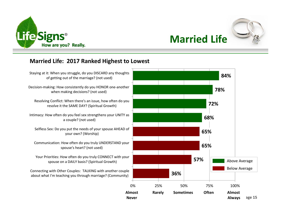



Below Average

Above Average

# **Married Life**

# **Married Life: 2017 Ranked Highest to Lowest**

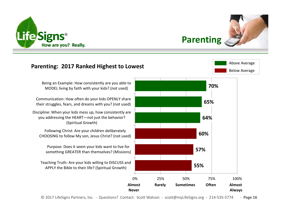

| Parenting |  |
|-----------|--|
|           |  |

Below Average

Above Average

# **Parenting: 2017 Ranked Highest to Lowest**

Being an Example: How consistently are you able to MODEL living by faith with your kids? (not used)

Communication: How often do your kids OPENLY share their struggles, fears, and dreams with you? (not used)

Discipline: When your kids mess up, how consistently are you addressing the HEART—not just the behavior? (Spiritual Growth)

Following Christ: Are your children deliberately CHOOSING to follow My son, Jesus Christ? (not used)

Purpose: Does it seem your kids want to live for something GREATER than themselves? (Missions)

Teaching Truth: Are your kids willing to DISCUSS and APPLY the Bible to their life? (Spiritual Growth)

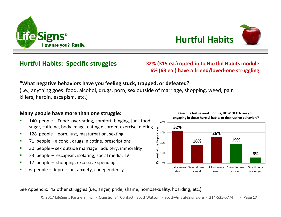



# **Hurtful Habits: Specific struggles**

**32% (315 ea.) opted-in to Hurtful Habits module 6% (63 ea.) have a friend/loved-one struggling**

#### **"What negative behaviors have you feeling stuck, trapped, or defeated?**

(i.e., anything goes: food, alcohol, drugs, porn, sex outside of marriage, shopping, weed, pain killers, heroin, escapism, etc.)

#### **Many people have more than one struggle:**

- 140 people Food: overeating, comfort, binging, junk food,  $\blacksquare$ sugar, caffeine, body image, eating disorder, exercise, dieting Percent of the Population Percent of the Population
- $\blacksquare$ 128 people – porn, lust, masturbation, sexting
- $\blacksquare$ 71 people – alcohol, drugs, nicotine, prescriptions
- $\blacksquare$ 30 people – sex outside marriage: adultery, immorality
- $\blacksquare$ 23 people – escapism, isolating, social media, TV
- п 17 people – shopping, excessive spending
- $\blacksquare$ 6 people – depression, anxiety, codependency

**32%18%26%19%**20%30%40%**Over the last several months, HOW OFTEN are you engaging in these hurtful habits or destructive behaviors?**

**6%**0%10%Usually, every Several times day a weekMost every A couple times One time or weeka monthno longer

See Appendix: 42 other struggles (i.e., anger, pride, shame, homosexuality, hoarding, etc.)